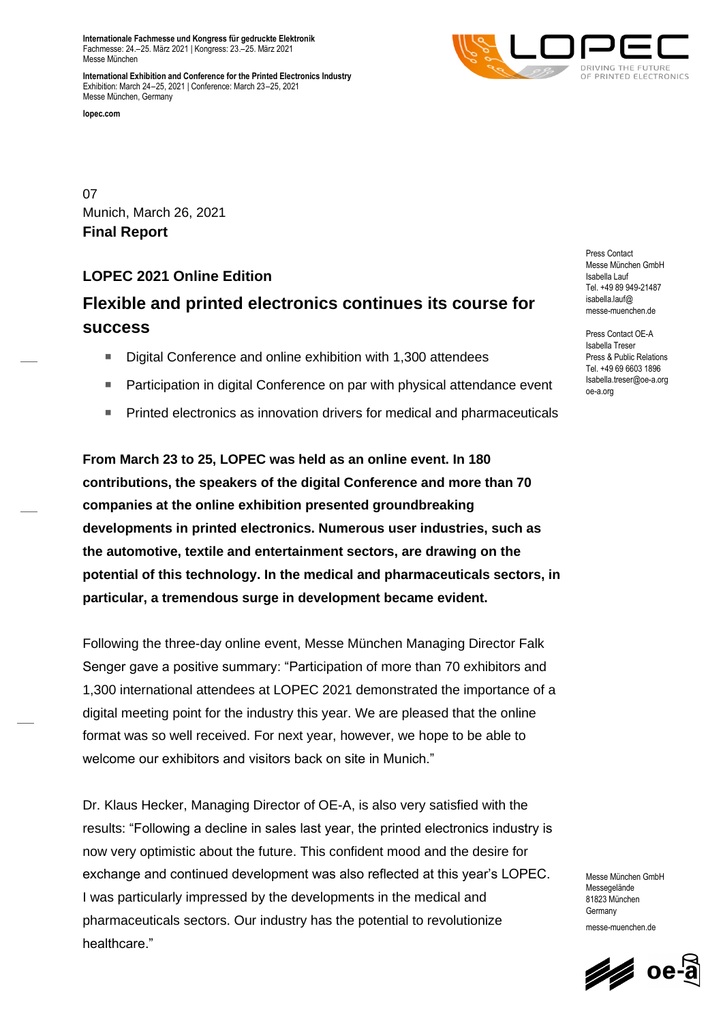**Internationale Fachmesse und Kongress für gedruckte Elektronik** Fachmesse: 24.–25. März 2021 | Kongress: 23.–25. März 2021 Messe München

**International Exhibition and Conference for the Printed Electronics Industry** Exhibition: March 24–25, 2021 | Conference: March 23–25, 2021 Messe München, Germany

**lopec.com**



07 Munich, March 26, 2021 **Final Report**

# **LOPEC 2021 Online Edition**

# **Flexible and printed electronics continues its course for success**

- Digital Conference and online exhibition with 1,300 attendees
- Participation in digital Conference on par with physical attendance event
- Printed electronics as innovation drivers for medical and pharmaceuticals

**From March 23 to 25, LOPEC was held as an online event. In 180 contributions, the speakers of the digital Conference and more than 70 companies at the online exhibition presented groundbreaking developments in printed electronics. Numerous user industries, such as the automotive, textile and entertainment sectors, are drawing on the potential of this technology. In the medical and pharmaceuticals sectors, in particular, a tremendous surge in development became evident.**

Following the three-day online event, Messe München Managing Director Falk Senger gave a positive summary: "Participation of more than 70 exhibitors and 1,300 international attendees at LOPEC 2021 demonstrated the importance of a digital meeting point for the industry this year. We are pleased that the online format was so well received. For next year, however, we hope to be able to welcome our exhibitors and visitors back on site in Munich."

Dr. Klaus Hecker, Managing Director of OE-A, is also very satisfied with the results: "Following a decline in sales last year, the printed electronics industry is now very optimistic about the future. This confident mood and the desire for exchange and continued development was also reflected at this year's LOPEC. I was particularly impressed by the developments in the medical and pharmaceuticals sectors. Our industry has the potential to revolutionize healthcare."

Press Contact Messe München GmbH Isabella Lauf Tel. +49 89 949-21487 isabella.lauf@ messe-muenchen.de

Press Contact OE-A Isabella Treser Press & Public Relations Tel. +49 69 6603 1896 Isabella.treser@oe-a.org oe-a.org

Messe München GmbH Messenelände 81823 München **Germany** messe-muenchen.de

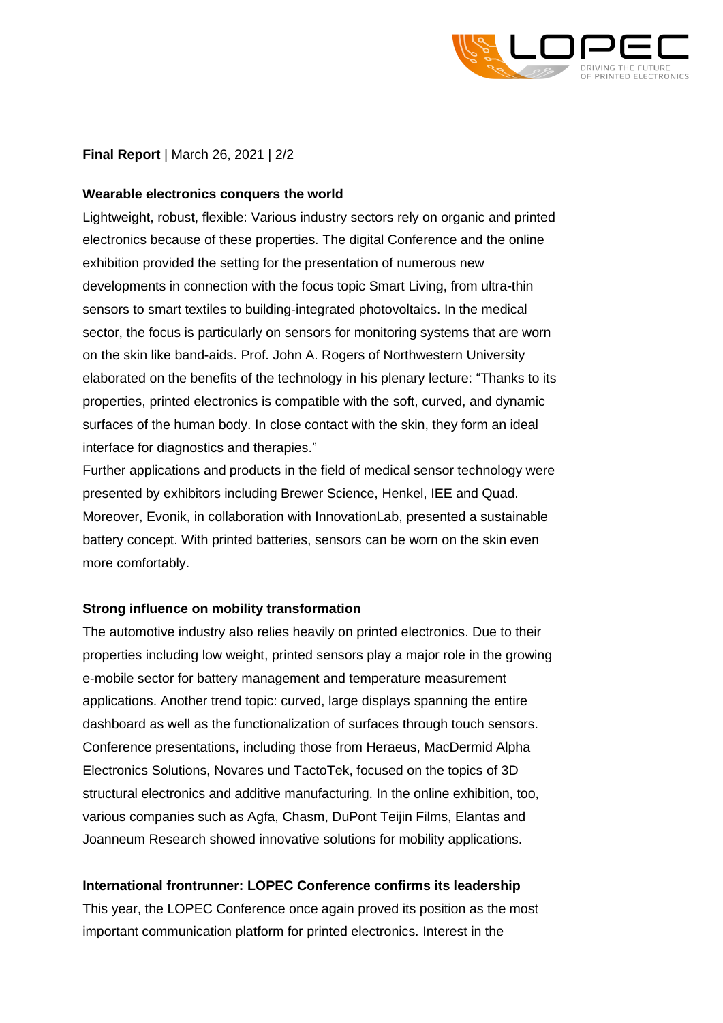

# **Final Report** | March 26, 2021 | 2/2

## **Wearable electronics conquers the world**

Lightweight, robust, flexible: Various industry sectors rely on organic and printed electronics because of these properties. The digital Conference and the online exhibition provided the setting for the presentation of numerous new developments in connection with the focus topic Smart Living, from ultra-thin sensors to smart textiles to building-integrated photovoltaics. In the medical sector, the focus is particularly on sensors for monitoring systems that are worn on the skin like band-aids. Prof. John A. Rogers of Northwestern University elaborated on the benefits of the technology in his plenary lecture: "Thanks to its properties, printed electronics is compatible with the soft, curved, and dynamic surfaces of the human body. In close contact with the skin, they form an ideal interface for diagnostics and therapies."

Further applications and products in the field of medical sensor technology were presented by exhibitors including Brewer Science, Henkel, IEE and Quad. Moreover, Evonik, in collaboration with InnovationLab, presented a sustainable battery concept. With printed batteries, sensors can be worn on the skin even more comfortably.

## **Strong influence on mobility transformation**

The automotive industry also relies heavily on printed electronics. Due to their properties including low weight, printed sensors play a major role in the growing e-mobile sector for battery management and temperature measurement applications. Another trend topic: curved, large displays spanning the entire dashboard as well as the functionalization of surfaces through touch sensors. Conference presentations, including those from Heraeus, MacDermid Alpha Electronics Solutions, Novares und TactoTek, focused on the topics of 3D structural electronics and additive manufacturing. In the online exhibition, too, various companies such as Agfa, Chasm, DuPont Teijin Films, Elantas and Joanneum Research showed innovative solutions for mobility applications.

## **International frontrunner: LOPEC Conference confirms its leadership**

This year, the LOPEC Conference once again proved its position as the most important communication platform for printed electronics. Interest in the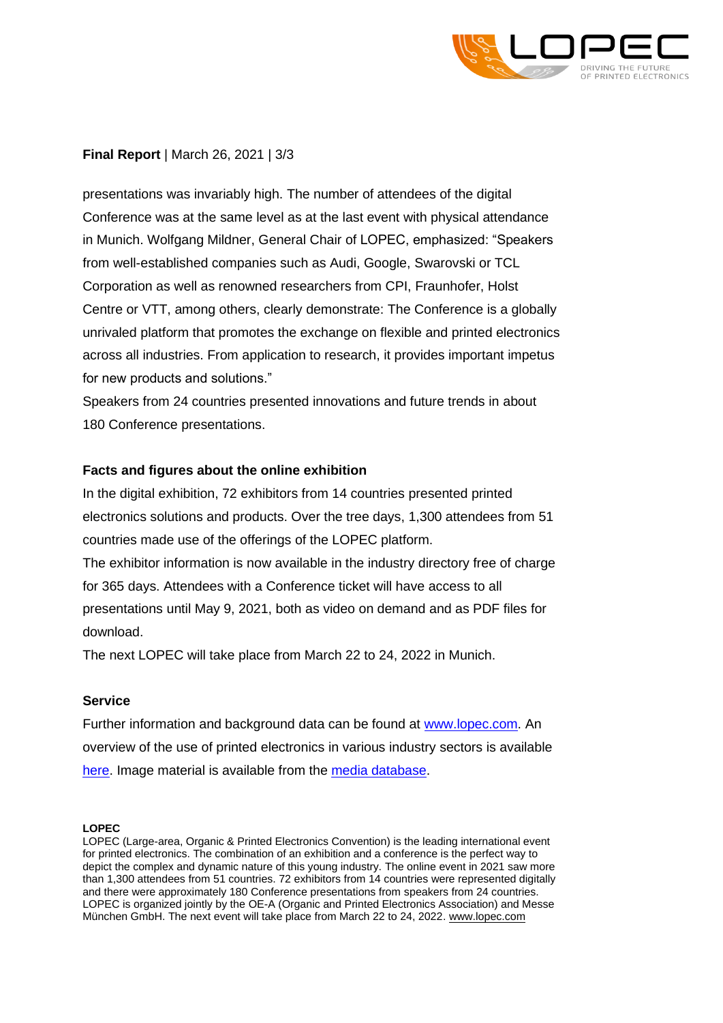

# **Final Report** | March 26, 2021 | 3/3

presentations was invariably high. The number of attendees of the digital Conference was at the same level as at the last event with physical attendance in Munich. Wolfgang Mildner, General Chair of LOPEC, emphasized: "Speakers from well-established companies such as Audi, Google, Swarovski or TCL Corporation as well as renowned researchers from CPI, Fraunhofer, Holst Centre or VTT, among others, clearly demonstrate: The Conference is a globally unrivaled platform that promotes the exchange on flexible and printed electronics across all industries. From application to research, it provides important impetus for new products and solutions."

Speakers from 24 countries presented innovations and future trends in about 180 Conference presentations.

## **Facts and figures about the online exhibition**

In the digital exhibition, 72 exhibitors from 14 countries presented printed electronics solutions and products. Over the tree days, 1,300 attendees from 51 countries made use of the offerings of the LOPEC platform.

The exhibitor information is now available in the industry directory free of charge for 365 days. Attendees with a Conference ticket will have access to all presentations until May 9, 2021, both as video on demand and as PDF files for download.

The next LOPEC will take place from March 22 to 24, 2022 in Munich.

## **Service**

Further information and background data can be found at [www.lopec.com.](https://www.lopec.com/en/) An overview of the use of printed electronics in various industry sectors is available [here.](https://www.lopec.com/en/about-lopec/sector-overview/) Image material is available from the [media database.](https://www.lopec.com/en/newsroom/information/photos-logos/)

#### **LOPEC**

LOPEC (Large-area, Organic & Printed Electronics Convention) is the leading international event for printed electronics. The combination of an exhibition and a conference is the perfect way to depict the complex and dynamic nature of this young industry. The online event in 2021 saw more than 1,300 attendees from 51 countries. 72 exhibitors from 14 countries were represented digitally and there were approximately 180 Conference presentations from speakers from 24 countries. LOPEC is organized jointly by the OE-A (Organic and Printed Electronics Association) and Messe München GmbH. The next event will take place from March 22 to 24, 2022[. www.lopec.com](http://www.lopec.com/index-2.html)